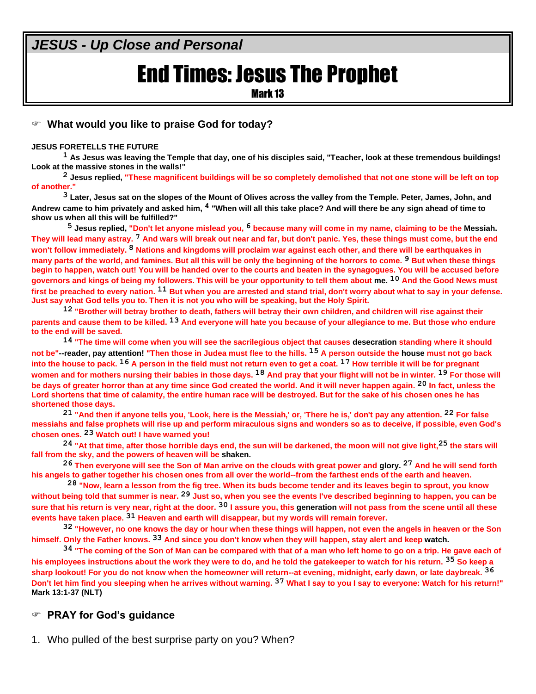# End Times: Jesus The Prophet

Mark 13

#### **What would you like to praise God for today?**

#### **JESUS FORETELLS THE FUTURE**

**1 As Jesus was leaving the Temple that day, one of his disciples said, "Teacher, look at these tremendous buildings! Look at the massive stones in the walls!"**

**2 Jesus replied, "These magnificent buildings will be so completely demolished that not one stone will be left on top of another."**

**3 Later, Jesus sat on the slopes of the Mount of Olives across the valley from the Temple. Peter, James, John, and Andrew came to him privately and asked him, 4 "When will all this take place? And will there be any sign ahead of time to show us when all this will be fulfilled?"**

**5 Jesus replied, "Don't let anyone mislead you, 6 because many will come in my name, claiming to be the Messiah. They will lead many astray. 7 And wars will break out near and far, but don't panic. Yes, these things must come, but the end won't follow immediately. 8 Nations and kingdoms will proclaim war against each other, and there will be earthquakes in many parts of the world, and famines. But all this will be only the beginning of the horrors to come. 9 But when these things begin to happen, watch out! You will be handed over to the courts and beaten in the synagogues. You will be accused before governors and kings of being my followers. This will be your opportunity to tell them about me. 10 And the Good News must first be preached to every nation. 11 But when you are arrested and stand trial, don't worry about what to say in your defense. Just say what God tells you to. Then it is not you who will be speaking, but the Holy Spirit.**

**12 "Brother will betray brother to death, fathers will betray their own children, and children will rise against their parents and cause them to be killed. 13 And everyone will hate you because of your allegiance to me. But those who endure to the end will be saved.**

**14 "The time will come when you will see the sacrilegious object that causes desecration standing where it should not be"--reader, pay attention! "Then those in Judea must flee to the hills. 15 A person outside the house must not go back into the house to pack. 16 A person in the field must not return even to get a coat. 17 How terrible it will be for pregnant women and for mothers nursing their babies in those days. 18 And pray that your flight will not be in winter. 19 For those will be days of greater horror than at any time since God created the world. And it will never happen again. 20 In fact, unless the Lord shortens that time of calamity, the entire human race will be destroyed. But for the sake of his chosen ones he has shortened those days.**

**21 "And then if anyone tells you, 'Look, here is the Messiah,' or, 'There he is,' don't pay any attention. 22 For false messiahs and false prophets will rise up and perform miraculous signs and wonders so as to deceive, if possible, even God's chosen ones. 23 Watch out! I have warned you!**

**24 "At that time, after those horrible days end, the sun will be darkened, the moon will not give light,25 the stars will fall from the sky, and the powers of heaven will be shaken.**

**26 Then everyone will see the Son of Man arrive on the clouds with great power and glory. 27 And he will send forth his angels to gather together his chosen ones from all over the world--from the farthest ends of the earth and heaven.**

**28 "Now, learn a lesson from the fig tree. When its buds become tender and its leaves begin to sprout, you know without being told that summer is near. 29 Just so, when you see the events I've described beginning to happen, you can be sure that his return is very near, right at the door. 30 I assure you, this generation will not pass from the scene until all these events have taken place. 31 Heaven and earth will disappear, but my words will remain forever.**

**32 "However, no one knows the day or hour when these things will happen, not even the angels in heaven or the Son himself. Only the Father knows. 33 And since you don't know when they will happen, stay alert and keep watch.**

**34 "The coming of the Son of Man can be compared with that of a man who left home to go on a trip. He gave each of his employees instructions about the work they were to do, and he told the gatekeeper to watch for his return. 35 So keep a sharp lookout! For you do not know when the homeowner will return--at evening, midnight, early dawn, or late daybreak. 36 Don't let him find you sleeping when he arrives without warning. 37 What I say to you I say to everyone: Watch for his return!" Mark 13:1-37 (NLT)**

#### **PRAY for God's guidance**

1. Who pulled of the best surprise party on you? When?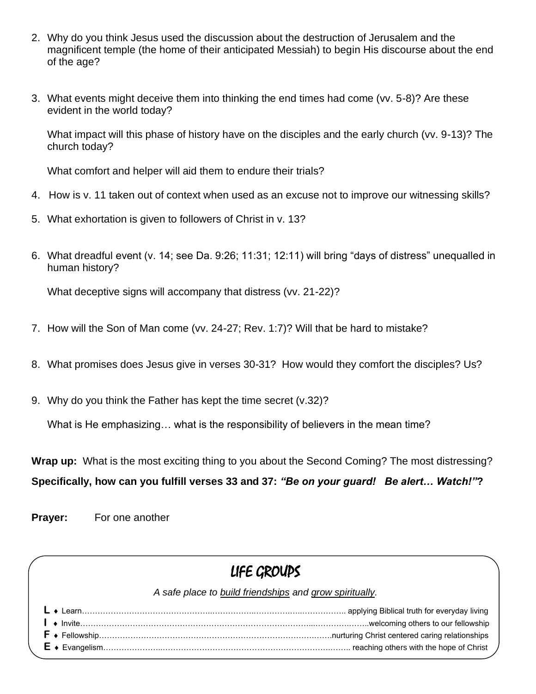- 2. Why do you think Jesus used the discussion about the destruction of Jerusalem and the magnificent temple (the home of their anticipated Messiah) to begin His discourse about the end of the age?
- 3. What events might deceive them into thinking the end times had come (vv. 5-8)? Are these evident in the world today?

What impact will this phase of history have on the disciples and the early church (vv. 9-13)? The church today?

What comfort and helper will aid them to endure their trials?

- 4. How is v. 11 taken out of context when used as an excuse not to improve our witnessing skills?
- 5. What exhortation is given to followers of Christ in v. 13?
- 6. What dreadful event (v. 14; see Da. 9:26; 11:31; 12:11) will bring "days of distress" unequalled in human history?

What deceptive signs will accompany that distress (vv. 21-22)?

- 7. How will the Son of Man come (vv. 24-27; Rev. 1:7)? Will that be hard to mistake?
- 8. What promises does Jesus give in verses 30-31? How would they comfort the disciples? Us?
- 9. Why do you think the Father has kept the time secret (v.32)?

What is He emphasizing… what is the responsibility of believers in the mean time?

**Wrap up:** What is the most exciting thing to you about the Second Coming? The most distressing? **Specifically, how can you fulfill verses 33 and 37:** *"Be on your guard! Be alert… Watch!"***?**

**Prayer:** For one another

# LIFE GROUPS *A safe place to build friendships and grow spiritually.*  **L** Learn…………………………………………..……………..………….…..…………….. applying Biblical truth for everyday living  **I**  Invite……………………………………………………………………………...………….……..welcoming others to our fellowship  **F** Fellowship……………………………………………………………………….…….nurturing Christ centered caring relationships  **E** Evangelism…………………..……………………………………………………….…….. reaching others with the hope of Christ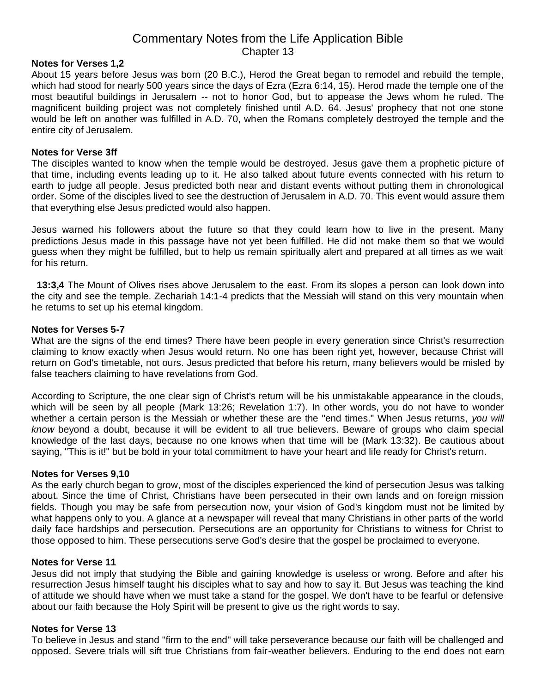#### Commentary Notes from the Life Application Bible Chapter 13

#### **Notes for Verses 1,2**

About 15 years before Jesus was born (20 B.C.), Herod the Great began to remodel and rebuild the temple, which had stood for nearly 500 years since the days of Ezra (Ezra 6:14, 15). Herod made the temple one of the most beautiful buildings in Jerusalem -- not to honor God, but to appease the Jews whom he ruled. The magnificent building project was not completely finished until A.D. 64. Jesus' prophecy that not one stone would be left on another was fulfilled in A.D. 70, when the Romans completely destroyed the temple and the entire city of Jerusalem.

#### **Notes for Verse 3ff**

The disciples wanted to know when the temple would be destroyed. Jesus gave them a prophetic picture of that time, including events leading up to it. He also talked about future events connected with his return to earth to judge all people. Jesus predicted both near and distant events without putting them in chronological order. Some of the disciples lived to see the destruction of Jerusalem in A.D. 70. This event would assure them that everything else Jesus predicted would also happen.

Jesus warned his followers about the future so that they could learn how to live in the present. Many predictions Jesus made in this passage have not yet been fulfilled. He did not make them so that we would guess when they might be fulfilled, but to help us remain spiritually alert and prepared at all times as we wait for his return.

 **13:3,4** The Mount of Olives rises above Jerusalem to the east. From its slopes a person can look down into the city and see the temple. Zechariah 14:1-4 predicts that the Messiah will stand on this very mountain when he returns to set up his eternal kingdom.

#### **Notes for Verses 5-7**

What are the signs of the end times? There have been people in every generation since Christ's resurrection claiming to know exactly when Jesus would return. No one has been right yet, however, because Christ will return on God's timetable, not ours. Jesus predicted that before his return, many believers would be misled by false teachers claiming to have revelations from God.

According to Scripture, the one clear sign of Christ's return will be his unmistakable appearance in the clouds, which will be seen by all people (Mark 13:26; Revelation 1:7). In other words, you do not have to wonder whether a certain person is the Messiah or whether these are the "end times." When Jesus returns, *you will know* beyond a doubt, because it will be evident to all true believers. Beware of groups who claim special knowledge of the last days, because no one knows when that time will be (Mark 13:32). Be cautious about saying, "This is it!" but be bold in your total commitment to have your heart and life ready for Christ's return.

#### **Notes for Verses 9,10**

As the early church began to grow, most of the disciples experienced the kind of persecution Jesus was talking about. Since the time of Christ, Christians have been persecuted in their own lands and on foreign mission fields. Though you may be safe from persecution now, your vision of God's kingdom must not be limited by what happens only to you. A glance at a newspaper will reveal that many Christians in other parts of the world daily face hardships and persecution. Persecutions are an opportunity for Christians to witness for Christ to those opposed to him. These persecutions serve God's desire that the gospel be proclaimed to everyone.

#### **Notes for Verse 11**

Jesus did not imply that studying the Bible and gaining knowledge is useless or wrong. Before and after his resurrection Jesus himself taught his disciples what to say and how to say it. But Jesus was teaching the kind of attitude we should have when we must take a stand for the gospel. We don't have to be fearful or defensive about our faith because the Holy Spirit will be present to give us the right words to say.

#### **Notes for Verse 13**

To believe in Jesus and stand "firm to the end" will take perseverance because our faith will be challenged and opposed. Severe trials will sift true Christians from fair-weather believers. Enduring to the end does not earn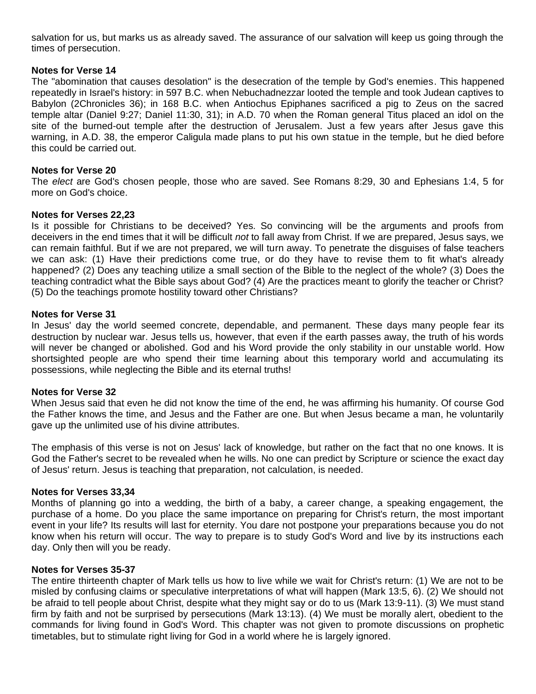salvation for us, but marks us as already saved. The assurance of our salvation will keep us going through the times of persecution.

#### **Notes for Verse 14**

The "abomination that causes desolation" is the desecration of the temple by God's enemies. This happened repeatedly in Israel's history: in 597 B.C. when Nebuchadnezzar looted the temple and took Judean captives to Babylon (2Chronicles 36); in 168 B.C. when Antiochus Epiphanes sacrificed a pig to Zeus on the sacred temple altar (Daniel 9:27; Daniel 11:30, 31); in A.D. 70 when the Roman general Titus placed an idol on the site of the burned-out temple after the destruction of Jerusalem. Just a few years after Jesus gave this warning, in A.D. 38, the emperor Caligula made plans to put his own statue in the temple, but he died before this could be carried out.

#### **Notes for Verse 20**

The *elect* are God's chosen people, those who are saved. See Romans 8:29, 30 and Ephesians 1:4, 5 for more on God's choice.

#### **Notes for Verses 22,23**

Is it possible for Christians to be deceived? Yes. So convincing will be the arguments and proofs from deceivers in the end times that it will be difficult *not* to fall away from Christ. If we are prepared, Jesus says, we can remain faithful. But if we are not prepared, we will turn away. To penetrate the disguises of false teachers we can ask: (1) Have their predictions come true, or do they have to revise them to fit what's already happened? (2) Does any teaching utilize a small section of the Bible to the neglect of the whole? (3) Does the teaching contradict what the Bible says about God? (4) Are the practices meant to glorify the teacher or Christ? (5) Do the teachings promote hostility toward other Christians?

#### **Notes for Verse 31**

In Jesus' day the world seemed concrete, dependable, and permanent. These days many people fear its destruction by nuclear war. Jesus tells us, however, that even if the earth passes away, the truth of his words will never be changed or abolished. God and his Word provide the only stability in our unstable world. How shortsighted people are who spend their time learning about this temporary world and accumulating its possessions, while neglecting the Bible and its eternal truths!

#### **Notes for Verse 32**

When Jesus said that even he did not know the time of the end, he was affirming his humanity. Of course God the Father knows the time, and Jesus and the Father are one. But when Jesus became a man, he voluntarily gave up the unlimited use of his divine attributes.

The emphasis of this verse is not on Jesus' lack of knowledge, but rather on the fact that no one knows. It is God the Father's secret to be revealed when he wills. No one can predict by Scripture or science the exact day of Jesus' return. Jesus is teaching that preparation, not calculation, is needed.

#### **Notes for Verses 33,34**

Months of planning go into a wedding, the birth of a baby, a career change, a speaking engagement, the purchase of a home. Do you place the same importance on preparing for Christ's return, the most important event in your life? Its results will last for eternity. You dare not postpone your preparations because you do not know when his return will occur. The way to prepare is to study God's Word and live by its instructions each day. Only then will you be ready.

#### **Notes for Verses 35-37**

The entire thirteenth chapter of Mark tells us how to live while we wait for Christ's return: (1) We are not to be misled by confusing claims or speculative interpretations of what will happen (Mark 13:5, 6). (2) We should not be afraid to tell people about Christ, despite what they might say or do to us (Mark 13:9-11). (3) We must stand firm by faith and not be surprised by persecutions (Mark 13:13). (4) We must be morally alert, obedient to the commands for living found in God's Word. This chapter was not given to promote discussions on prophetic timetables, but to stimulate right living for God in a world where he is largely ignored.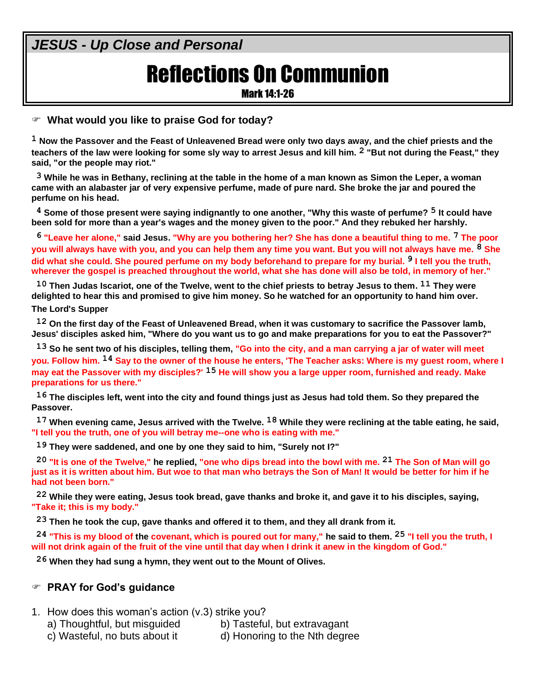# Reflections On Communion

Mark 14:1-26

#### **What would you like to praise God for today?**

**1 Now the Passover and the Feast of Unleavened Bread were only two days away, and the chief priests and the teachers of the law were looking for some sly way to arrest Jesus and kill him. 2 "But not during the Feast," they said, "or the people may riot."**

 **3 While he was in Bethany, reclining at the table in the home of a man known as Simon the Leper, a woman came with an alabaster jar of very expensive perfume, made of pure nard. She broke the jar and poured the perfume on his head.**

 **4 Some of those present were saying indignantly to one another, "Why this waste of perfume? 5 It could have been sold for more than a year's wages and the money given to the poor." And they rebuked her harshly.**

**6 "Leave her alone," said Jesus. "Why are you bothering her? She has done a beautiful thing to me. 7 The poor you will always have with you, and you can help them any time you want. But you will not always have me. 8 She did what she could. She poured perfume on my body beforehand to prepare for my burial. 9 I tell you the truth, wherever the gospel is preached throughout the world, what she has done will also be told, in memory of her."**

 **10 Then Judas Iscariot, one of the Twelve, went to the chief priests to betray Jesus to them. 11 They were delighted to hear this and promised to give him money. So he watched for an opportunity to hand him over.**

#### **The Lord's Supper**

 **12 On the first day of the Feast of Unleavened Bread, when it was customary to sacrifice the Passover lamb, Jesus' disciples asked him, "Where do you want us to go and make preparations for you to eat the Passover?"**

 **13 So he sent two of his disciples, telling them, "Go into the city, and a man carrying a jar of water will meet you. Follow him. 14 Say to the owner of the house he enters, 'The Teacher asks: Where is my guest room, where I may eat the Passover with my disciples?' 15 He will show you a large upper room, furnished and ready. Make preparations for us there."**

 **16 The disciples left, went into the city and found things just as Jesus had told them. So they prepared the Passover.**

 **17 When evening came, Jesus arrived with the Twelve. 18 While they were reclining at the table eating, he said, "I tell you the truth, one of you will betray me--one who is eating with me."**

**19 They were saddened, and one by one they said to him, "Surely not I?"**

 **20 "It is one of the Twelve," he replied, "one who dips bread into the bowl with me. 21 The Son of Man will go just as it is written about him. But woe to that man who betrays the Son of Man! It would be better for him if he had not been born."**

 **22 While they were eating, Jesus took bread, gave thanks and broke it, and gave it to his disciples, saying, "Take it; this is my body."**

 **23 Then he took the cup, gave thanks and offered it to them, and they all drank from it.**

 **24 "This is my blood of the covenant, which is poured out for many," he said to them. 25 "I tell you the truth, I will not drink again of the fruit of the vine until that day when I drink it anew in the kingdom of God."**

 **26 When they had sung a hymn, they went out to the Mount of Olives.**

#### **PRAY for God's guidance**

- 1. How does this woman's action (v.3) strike you?
	- a) Thoughtful, but misquided b) Tasteful, but extravagant
- - c) Wasteful, no buts about it d) Honoring to the Nth degree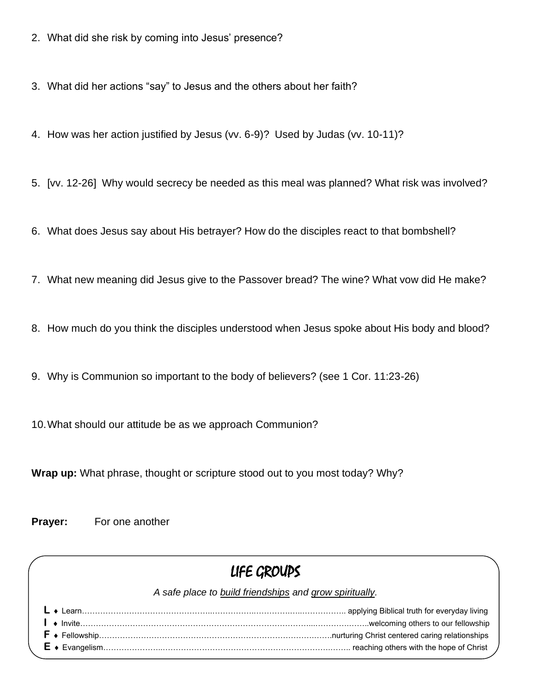- 2. What did she risk by coming into Jesus' presence?
- 3. What did her actions "say" to Jesus and the others about her faith?
- 4. How was her action justified by Jesus (vv. 6-9)? Used by Judas (vv. 10-11)?
- 5. [vv. 12-26] Why would secrecy be needed as this meal was planned? What risk was involved?
- 6. What does Jesus say about His betrayer? How do the disciples react to that bombshell?
- 7. What new meaning did Jesus give to the Passover bread? The wine? What vow did He make?
- 8. How much do you think the disciples understood when Jesus spoke about His body and blood?
- 9. Why is Communion so important to the body of believers? (see 1 Cor. 11:23-26)
- 10.What should our attitude be as we approach Communion?

**Wrap up:** What phrase, thought or scripture stood out to you most today? Why?

**Prayer:** For one another

## LIFE GROUPS *A safe place to build friendships and grow spiritually.*  **L** Learn…………………………………………..……………..………….…..…………….. applying Biblical truth for everyday living  **I**  Invite……………………………………………………………………………...………….……..welcoming others to our fellowship  **F** Fellowship……………………………………………………………………….…….nurturing Christ centered caring relationships  **E** Evangelism…………………..……………………………………………………….…….. reaching others with the hope of Christ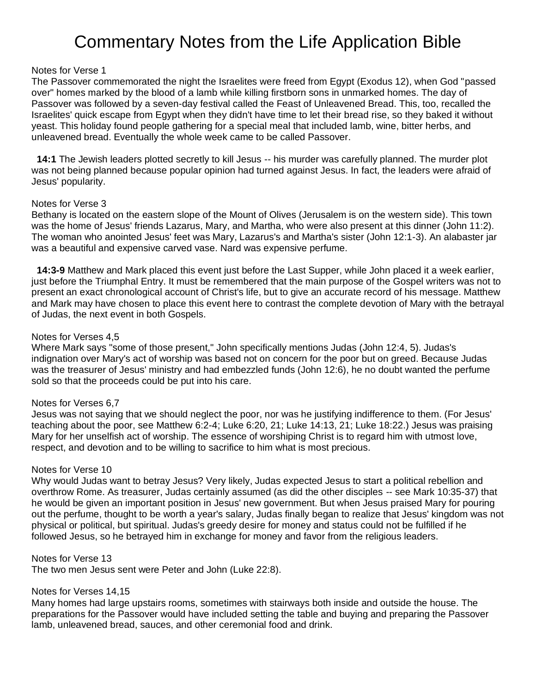# Commentary Notes from the Life Application Bible

#### Notes for Verse 1

The Passover commemorated the night the Israelites were freed from Egypt (Exodus 12), when God "passed over" homes marked by the blood of a lamb while killing firstborn sons in unmarked homes. The day of Passover was followed by a seven-day festival called the Feast of Unleavened Bread. This, too, recalled the Israelites' quick escape from Egypt when they didn't have time to let their bread rise, so they baked it without yeast. This holiday found people gathering for a special meal that included lamb, wine, bitter herbs, and unleavened bread. Eventually the whole week came to be called Passover.

 **14:1** The Jewish leaders plotted secretly to kill Jesus -- his murder was carefully planned. The murder plot was not being planned because popular opinion had turned against Jesus. In fact, the leaders were afraid of Jesus' popularity.

#### Notes for Verse 3

Bethany is located on the eastern slope of the Mount of Olives (Jerusalem is on the western side). This town was the home of Jesus' friends Lazarus, Mary, and Martha, who were also present at this dinner (John 11:2). The woman who anointed Jesus' feet was Mary, Lazarus's and Martha's sister (John 12:1-3). An alabaster jar was a beautiful and expensive carved vase. Nard was expensive perfume.

 **14:3-9** Matthew and Mark placed this event just before the Last Supper, while John placed it a week earlier, just before the Triumphal Entry. It must be remembered that the main purpose of the Gospel writers was not to present an exact chronological account of Christ's life, but to give an accurate record of his message. Matthew and Mark may have chosen to place this event here to contrast the complete devotion of Mary with the betrayal of Judas, the next event in both Gospels.

#### Notes for Verses 4,5

Where Mark says "some of those present," John specifically mentions Judas (John 12:4, 5). Judas's indignation over Mary's act of worship was based not on concern for the poor but on greed. Because Judas was the treasurer of Jesus' ministry and had embezzled funds (John 12:6), he no doubt wanted the perfume sold so that the proceeds could be put into his care.

#### Notes for Verses 6,7

Jesus was not saying that we should neglect the poor, nor was he justifying indifference to them. (For Jesus' teaching about the poor, see Matthew 6:2-4; Luke 6:20, 21; Luke 14:13, 21; Luke 18:22.) Jesus was praising Mary for her unselfish act of worship. The essence of worshiping Christ is to regard him with utmost love, respect, and devotion and to be willing to sacrifice to him what is most precious.

#### Notes for Verse 10

Why would Judas want to betray Jesus? Very likely, Judas expected Jesus to start a political rebellion and overthrow Rome. As treasurer, Judas certainly assumed (as did the other disciples -- see Mark 10:35-37) that he would be given an important position in Jesus' new government. But when Jesus praised Mary for pouring out the perfume, thought to be worth a year's salary, Judas finally began to realize that Jesus' kingdom was not physical or political, but spiritual. Judas's greedy desire for money and status could not be fulfilled if he followed Jesus, so he betrayed him in exchange for money and favor from the religious leaders.

#### Notes for Verse 13

The two men Jesus sent were Peter and John (Luke 22:8).

#### Notes for Verses 14,15

Many homes had large upstairs rooms, sometimes with stairways both inside and outside the house. The preparations for the Passover would have included setting the table and buying and preparing the Passover lamb, unleavened bread, sauces, and other ceremonial food and drink.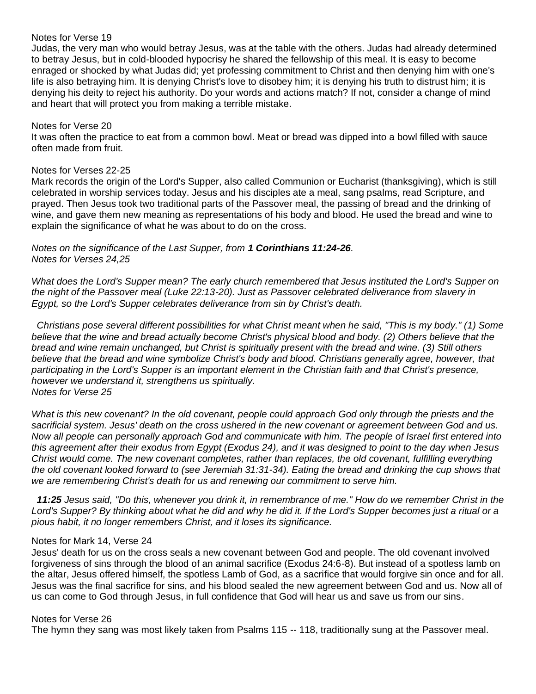#### Notes for Verse 19

Judas, the very man who would betray Jesus, was at the table with the others. Judas had already determined to betray Jesus, but in cold-blooded hypocrisy he shared the fellowship of this meal. It is easy to become enraged or shocked by what Judas did; yet professing commitment to Christ and then denying him with one's life is also betraying him. It is denying Christ's love to disobey him; it is denying his truth to distrust him; it is denying his deity to reject his authority. Do your words and actions match? If not, consider a change of mind and heart that will protect you from making a terrible mistake.

#### Notes for Verse 20

It was often the practice to eat from a common bowl. Meat or bread was dipped into a bowl filled with sauce often made from fruit.

#### Notes for Verses 22-25

Mark records the origin of the Lord's Supper, also called Communion or Eucharist (thanksgiving), which is still celebrated in worship services today. Jesus and his disciples ate a meal, sang psalms, read Scripture, and prayed. Then Jesus took two traditional parts of the Passover meal, the passing of bread and the drinking of wine, and gave them new meaning as representations of his body and blood. He used the bread and wine to explain the significance of what he was about to do on the cross.

#### *Notes on the significance of the Last Supper, from 1 Corinthians 11:24-26. Notes for Verses 24,25*

*What does the Lord's Supper mean? The early church remembered that Jesus instituted the Lord's Supper on the night of the Passover meal (Luke 22:13-20). Just as Passover celebrated deliverance from slavery in Egypt, so the Lord's Supper celebrates deliverance from sin by Christ's death.*

 *Christians pose several different possibilities for what Christ meant when he said, "This is my body.'' (1) Some believe that the wine and bread actually become Christ's physical blood and body. (2) Others believe that the bread and wine remain unchanged, but Christ is spiritually present with the bread and wine. (3) Still others believe that the bread and wine symbolize Christ's body and blood. Christians generally agree, however, that participating in the Lord's Supper is an important element in the Christian faith and that Christ's presence, however we understand it, strengthens us spiritually. Notes for Verse 25*

*What is this new covenant? In the old covenant, people could approach God only through the priests and the sacrificial system. Jesus' death on the cross ushered in the new covenant or agreement between God and us. Now all people can personally approach God and communicate with him. The people of Israel first entered into this agreement after their exodus from Egypt (Exodus 24), and it was designed to point to the day when Jesus Christ would come. The new covenant completes, rather than replaces, the old covenant, fulfilling everything the old covenant looked forward to (see Jeremiah 31:31-34). Eating the bread and drinking the cup shows that we are remembering Christ's death for us and renewing our commitment to serve him.* 

 *11:25 Jesus said, "Do this, whenever you drink it, in remembrance of me.'' How do we remember Christ in the*  Lord's Supper? By thinking about what he did and why he did it. If the Lord's Supper becomes just a ritual or a *pious habit, it no longer remembers Christ, and it loses its significance.*

#### Notes for Mark 14, Verse 24

Jesus' death for us on the cross seals a new covenant between God and people. The old covenant involved forgiveness of sins through the blood of an animal sacrifice (Exodus 24:6-8). But instead of a spotless lamb on the altar, Jesus offered himself, the spotless Lamb of God, as a sacrifice that would forgive sin once and for all. Jesus was the final sacrifice for sins, and his blood sealed the new agreement between God and us. Now all of us can come to God through Jesus, in full confidence that God will hear us and save us from our sins.

#### Notes for Verse 26

The hymn they sang was most likely taken from Psalms 115 -- 118, traditionally sung at the Passover meal.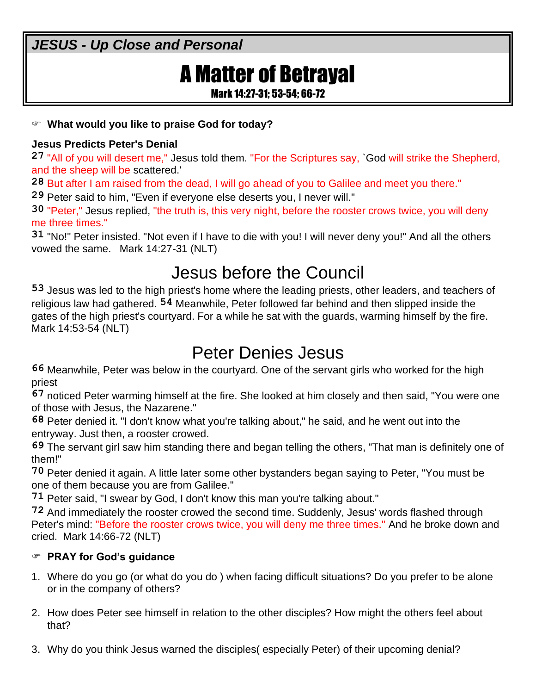# A Matter of Betrayal

Mark 14:27-31; 53-54; 66-72

#### **What would you like to praise God for today?**

#### **Jesus Predicts Peter's Denial**

**27** "All of you will desert me," Jesus told them. "For the Scriptures say, `God will strike the Shepherd, and the sheep will be scattered.'

**28** But after I am raised from the dead, I will go ahead of you to Galilee and meet you there."

**29** Peter said to him, "Even if everyone else deserts you, I never will."

**30** "Peter," Jesus replied, "the truth is, this very night, before the rooster crows twice, you will deny me three times."

**31** "No!" Peter insisted. "Not even if I have to die with you! I will never deny you!" And all the others vowed the same. Mark 14:27-31 (NLT)

# Jesus before the Council

**53** Jesus was led to the high priest's home where the leading priests, other leaders, and teachers of religious law had gathered. **54** Meanwhile, Peter followed far behind and then slipped inside the gates of the high priest's courtyard. For a while he sat with the guards, warming himself by the fire. Mark 14:53-54 (NLT)

# Peter Denies Jesus

**66** Meanwhile, Peter was below in the courtyard. One of the servant girls who worked for the high priest

**67** noticed Peter warming himself at the fire. She looked at him closely and then said, "You were one of those with Jesus, the Nazarene."

**68** Peter denied it. "I don't know what you're talking about," he said, and he went out into the entryway. Just then, a rooster crowed.

**69** The servant girl saw him standing there and began telling the others, "That man is definitely one of them!"

**70** Peter denied it again. A little later some other bystanders began saying to Peter, "You must be one of them because you are from Galilee."

**71** Peter said, "I swear by God, I don't know this man you're talking about."

**72** And immediately the rooster crowed the second time. Suddenly, Jesus' words flashed through Peter's mind: "Before the rooster crows twice, you will deny me three times." And he broke down and cried. Mark 14:66-72 (NLT)

#### **PRAY for God's guidance**

- 1. Where do you go (or what do you do ) when facing difficult situations? Do you prefer to be alone or in the company of others?
- 2. How does Peter see himself in relation to the other disciples? How might the others feel about that?
- 3. Why do you think Jesus warned the disciples( especially Peter) of their upcoming denial?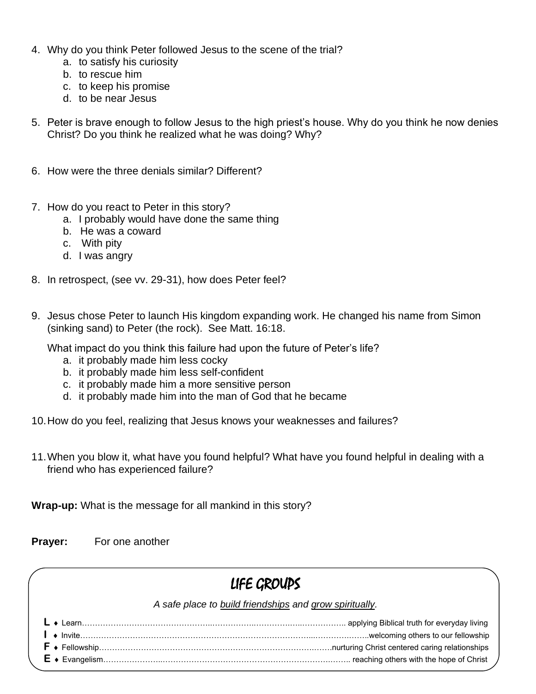- 4. Why do you think Peter followed Jesus to the scene of the trial?
	- a. to satisfy his curiosity
	- b. to rescue him
	- c. to keep his promise
	- d. to be near Jesus
- 5. Peter is brave enough to follow Jesus to the high priest's house. Why do you think he now denies Christ? Do you think he realized what he was doing? Why?
- 6. How were the three denials similar? Different?
- 7. How do you react to Peter in this story?
	- a. I probably would have done the same thing
	- b. He was a coward
	- c. With pity
	- d. I was angry
- 8. In retrospect, (see vv. 29-31), how does Peter feel?
- 9. Jesus chose Peter to launch His kingdom expanding work. He changed his name from Simon (sinking sand) to Peter (the rock). See Matt. 16:18.

What impact do you think this failure had upon the future of Peter's life?

- a. it probably made him less cocky
- b. it probably made him less self-confident
- c. it probably made him a more sensitive person
- d. it probably made him into the man of God that he became

10.How do you feel, realizing that Jesus knows your weaknesses and failures?

11.When you blow it, what have you found helpful? What have you found helpful in dealing with a friend who has experienced failure?

**Wrap-up:** What is the message for all mankind in this story?

**Prayer:** For one another

## LIFE GROUPS

*A safe place to build friendships and grow spiritually.*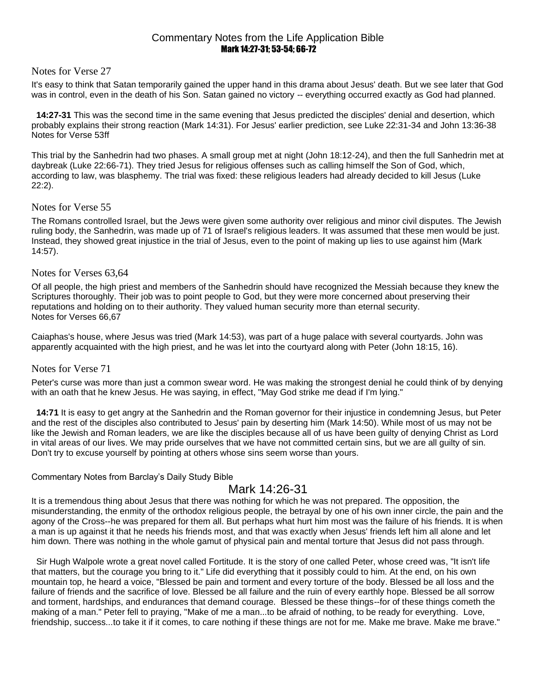#### Commentary Notes from the Life Application Bible Mark 14:27-31; 53-54; 66-72

#### Notes for Verse 27

It's easy to think that Satan temporarily gained the upper hand in this drama about Jesus' death. But we see later that God was in control, even in the death of his Son. Satan gained no victory -- everything occurred exactly as God had planned.

 **14:27-31** This was the second time in the same evening that Jesus predicted the disciples' denial and desertion, which probably explains their strong reaction (Mark 14:31). For Jesus' earlier prediction, see Luke 22:31-34 and John 13:36-38 Notes for Verse 53ff

This trial by the Sanhedrin had two phases. A small group met at night (John 18:12-24), and then the full Sanhedrin met at daybreak (Luke 22:66-71). They tried Jesus for religious offenses such as calling himself the Son of God, which, according to law, was blasphemy. The trial was fixed: these religious leaders had already decided to kill Jesus (Luke 22:2).

#### Notes for Verse 55

The Romans controlled Israel, but the Jews were given some authority over religious and minor civil disputes. The Jewish ruling body, the Sanhedrin, was made up of 71 of Israel's religious leaders. It was assumed that these men would be just. Instead, they showed great injustice in the trial of Jesus, even to the point of making up lies to use against him (Mark 14:57).

#### Notes for Verses 63,64

Of all people, the high priest and members of the Sanhedrin should have recognized the Messiah because they knew the Scriptures thoroughly. Their job was to point people to God, but they were more concerned about preserving their reputations and holding on to their authority. They valued human security more than eternal security. Notes for Verses 66,67

Caiaphas's house, where Jesus was tried (Mark 14:53), was part of a huge palace with several courtyards. John was apparently acquainted with the high priest, and he was let into the courtyard along with Peter (John 18:15, 16).

#### Notes for Verse 71

Peter's curse was more than just a common swear word. He was making the strongest denial he could think of by denying with an oath that he knew Jesus. He was saying, in effect, "May God strike me dead if I'm lying."

 **14:71** It is easy to get angry at the Sanhedrin and the Roman governor for their injustice in condemning Jesus, but Peter and the rest of the disciples also contributed to Jesus' pain by deserting him (Mark 14:50). While most of us may not be like the Jewish and Roman leaders, we are like the disciples because all of us have been guilty of denying Christ as Lord in vital areas of our lives. We may pride ourselves that we have not committed certain sins, but we are all guilty of sin. Don't try to excuse yourself by pointing at others whose sins seem worse than yours.

#### Commentary Notes from Barclay's Daily Study Bible

#### Mark 14:26-31

It is a tremendous thing about Jesus that there was nothing for which he was not prepared. The opposition, the misunderstanding, the enmity of the orthodox religious people, the betrayal by one of his own inner circle, the pain and the agony of the Cross--he was prepared for them all. But perhaps what hurt him most was the failure of his friends. It is when a man is up against it that he needs his friends most, and that was exactly when Jesus' friends left him all alone and let him down. There was nothing in the whole gamut of physical pain and mental torture that Jesus did not pass through.

 Sir Hugh Walpole wrote a great novel called Fortitude. It is the story of one called Peter, whose creed was, "It isn't life that matters, but the courage you bring to it." Life did everything that it possibly could to him. At the end, on his own mountain top, he heard a voice, "Blessed be pain and torment and every torture of the body. Blessed be all loss and the failure of friends and the sacrifice of love. Blessed be all failure and the ruin of every earthly hope. Blessed be all sorrow and torment, hardships, and endurances that demand courage. Blessed be these things--for of these things cometh the making of a man." Peter fell to praying, "Make of me a man...to be afraid of nothing, to be ready for everything. Love, friendship, success...to take it if it comes, to care nothing if these things are not for me. Make me brave. Make me brave."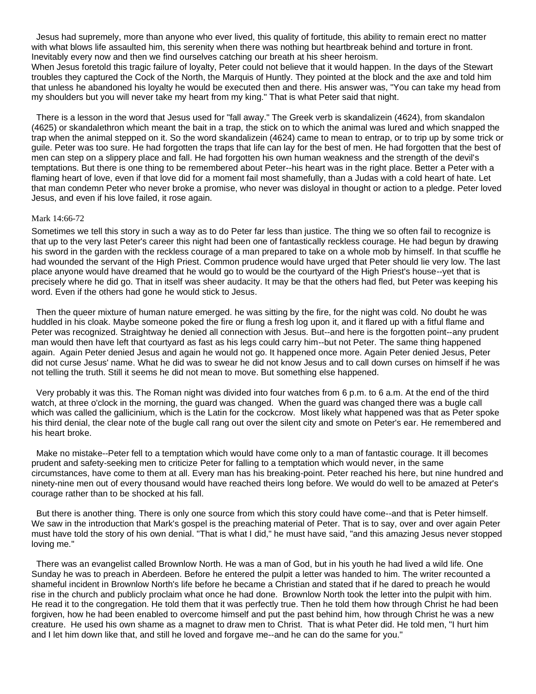Jesus had supremely, more than anyone who ever lived, this quality of fortitude, this ability to remain erect no matter with what blows life assaulted him, this serenity when there was nothing but heartbreak behind and torture in front. Inevitably every now and then we find ourselves catching our breath at his sheer heroism.

When Jesus foretold this tragic failure of loyalty, Peter could not believe that it would happen. In the days of the Stewart troubles they captured the Cock of the North, the Marquis of Huntly. They pointed at the block and the axe and told him that unless he abandoned his loyalty he would be executed then and there. His answer was, "You can take my head from my shoulders but you will never take my heart from my king." That is what Peter said that night.

 There is a lesson in the word that Jesus used for "fall away." The Greek verb is skandalizein (4624), from skandalon (4625) or skandalethron which meant the bait in a trap, the stick on to which the animal was lured and which snapped the trap when the animal stepped on it. So the word skandalizein (4624) came to mean to entrap, or to trip up by some trick or guile. Peter was too sure. He had forgotten the traps that life can lay for the best of men. He had forgotten that the best of men can step on a slippery place and fall. He had forgotten his own human weakness and the strength of the devil's temptations. But there is one thing to be remembered about Peter--his heart was in the right place. Better a Peter with a flaming heart of love, even if that love did for a moment fail most shamefully, than a Judas with a cold heart of hate. Let that man condemn Peter who never broke a promise, who never was disloyal in thought or action to a pledge. Peter loved Jesus, and even if his love failed, it rose again.

#### Mark 14:66-72

Sometimes we tell this story in such a way as to do Peter far less than justice. The thing we so often fail to recognize is that up to the very last Peter's career this night had been one of fantastically reckless courage. He had begun by drawing his sword in the garden with the reckless courage of a man prepared to take on a whole mob by himself. In that scuffle he had wounded the servant of the High Priest. Common prudence would have urged that Peter should lie very low. The last place anyone would have dreamed that he would go to would be the courtyard of the High Priest's house--yet that is precisely where he did go. That in itself was sheer audacity. It may be that the others had fled, but Peter was keeping his word. Even if the others had gone he would stick to Jesus.

 Then the queer mixture of human nature emerged. he was sitting by the fire, for the night was cold. No doubt he was huddled in his cloak. Maybe someone poked the fire or flung a fresh log upon it, and it flared up with a fitful flame and Peter was recognized. Straightway he denied all connection with Jesus. But--and here is the forgotten point--any prudent man would then have left that courtyard as fast as his legs could carry him--but not Peter. The same thing happened again. Again Peter denied Jesus and again he would not go. It happened once more. Again Peter denied Jesus, Peter did not curse Jesus' name. What he did was to swear he did not know Jesus and to call down curses on himself if he was not telling the truth. Still it seems he did not mean to move. But something else happened.

 Very probably it was this. The Roman night was divided into four watches from 6 p.m. to 6 a.m. At the end of the third watch, at three o'clock in the morning, the guard was changed. When the guard was changed there was a bugle call which was called the gallicinium, which is the Latin for the cockcrow. Most likely what happened was that as Peter spoke his third denial, the clear note of the bugle call rang out over the silent city and smote on Peter's ear. He remembered and his heart broke.

 Make no mistake--Peter fell to a temptation which would have come only to a man of fantastic courage. It ill becomes prudent and safety-seeking men to criticize Peter for falling to a temptation which would never, in the same circumstances, have come to them at all. Every man has his breaking-point. Peter reached his here, but nine hundred and ninety-nine men out of every thousand would have reached theirs long before. We would do well to be amazed at Peter's courage rather than to be shocked at his fall.

 But there is another thing. There is only one source from which this story could have come--and that is Peter himself. We saw in the introduction that Mark's gospel is the preaching material of Peter. That is to say, over and over again Peter must have told the story of his own denial. "That is what I did," he must have said, "and this amazing Jesus never stopped loving me."

 There was an evangelist called Brownlow North. He was a man of God, but in his youth he had lived a wild life. One Sunday he was to preach in Aberdeen. Before he entered the pulpit a letter was handed to him. The writer recounted a shameful incident in Brownlow North's life before he became a Christian and stated that if he dared to preach he would rise in the church and publicly proclaim what once he had done. Brownlow North took the letter into the pulpit with him. He read it to the congregation. He told them that it was perfectly true. Then he told them how through Christ he had been forgiven, how he had been enabled to overcome himself and put the past behind him, how through Christ he was a new creature. He used his own shame as a magnet to draw men to Christ. That is what Peter did. He told men, "I hurt him and I let him down like that, and still he loved and forgave me--and he can do the same for you."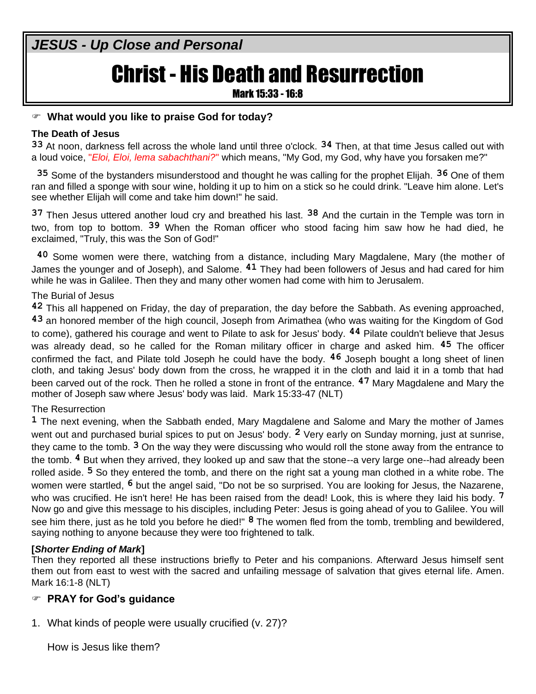# Christ - His Death and Resurrection

Mark 15:33 -16:8

#### **What would you like to praise God for today?**

#### **The Death of Jesus**

**33** At noon, darkness fell across the whole land until three o'clock. **34** Then, at that time Jesus called out with a loud voice, "*Eloi, Eloi, lema sabachthani?*" which means, "My God, my God, why have you forsaken me?"

 **35** Some of the bystanders misunderstood and thought he was calling for the prophet Elijah. **36** One of them ran and filled a sponge with sour wine, holding it up to him on a stick so he could drink. "Leave him alone. Let's see whether Elijah will come and take him down!" he said.

**37** Then Jesus uttered another loud cry and breathed his last. **38** And the curtain in the Temple was torn in two, from top to bottom. **39** When the Roman officer who stood facing him saw how he had died, he exclaimed, "Truly, this was the Son of God!"

 **40** Some women were there, watching from a distance, including Mary Magdalene, Mary (the mother of James the younger and of Joseph), and Salome. **41** They had been followers of Jesus and had cared for him while he was in Galilee. Then they and many other women had come with him to Jerusalem.

#### The Burial of Jesus

**42** This all happened on Friday, the day of preparation, the day before the Sabbath. As evening approached, **43** an honored member of the high council, Joseph from Arimathea (who was waiting for the Kingdom of God to come), gathered his courage and went to Pilate to ask for Jesus' body. **44** Pilate couldn't believe that Jesus was already dead, so he called for the Roman military officer in charge and asked him. **45** The officer confirmed the fact, and Pilate told Joseph he could have the body. **46** Joseph bought a long sheet of linen cloth, and taking Jesus' body down from the cross, he wrapped it in the cloth and laid it in a tomb that had been carved out of the rock. Then he rolled a stone in front of the entrance. **47** Mary Magdalene and Mary the mother of Joseph saw where Jesus' body was laid. Mark 15:33-47 (NLT)

#### The Resurrection

**1** The next evening, when the Sabbath ended, Mary Magdalene and Salome and Mary the mother of James went out and purchased burial spices to put on Jesus' body. **2** Very early on Sunday morning, just at sunrise, they came to the tomb. **3** On the way they were discussing who would roll the stone away from the entrance to the tomb. **4** But when they arrived, they looked up and saw that the stone--a very large one--had already been rolled aside. **5** So they entered the tomb, and there on the right sat a young man clothed in a white robe. The women were startled, **6** but the angel said, "Do not be so surprised. You are looking for Jesus, the Nazarene, who was crucified. He isn't here! He has been raised from the dead! Look, this is where they laid his body. **7** Now go and give this message to his disciples, including Peter: Jesus is going ahead of you to Galilee. You will see him there, just as he told you before he died!" **8** The women fled from the tomb, trembling and bewildered, saying nothing to anyone because they were too frightened to talk.

#### **[***Shorter Ending of Mark***]**

Then they reported all these instructions briefly to Peter and his companions. Afterward Jesus himself sent them out from east to west with the sacred and unfailing message of salvation that gives eternal life. Amen. Mark 16:1-8 (NLT)

#### **PRAY for God's guidance**

1. What kinds of people were usually crucified (v. 27)?

How is Jesus like them?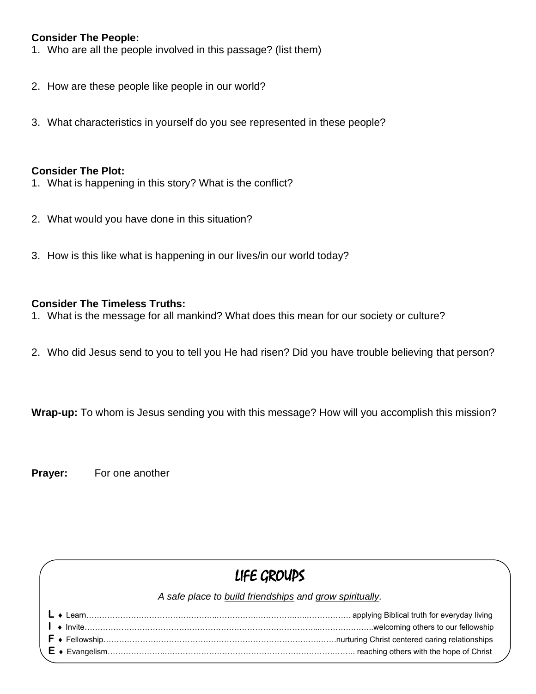#### **Consider The People:**

- 1. Who are all the people involved in this passage? (list them)
- 2. How are these people like people in our world?
- 3. What characteristics in yourself do you see represented in these people?

#### **Consider The Plot:**

- 1. What is happening in this story? What is the conflict?
- 2. What would you have done in this situation?
- 3. How is this like what is happening in our lives/in our world today?

#### **Consider The Timeless Truths:**

- 1. What is the message for all mankind? What does this mean for our society or culture?
- 2. Who did Jesus send to you to tell you He had risen? Did you have trouble believing that person?

**Wrap-up:** To whom is Jesus sending you with this message? How will you accomplish this mission?

**Prayer:** For one another

### LIFE GROUPS

*A safe place to build friendships and grow spiritually.*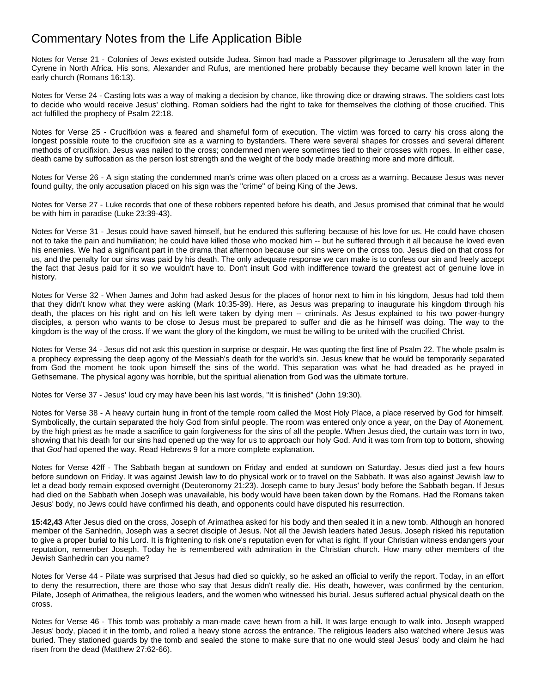### Commentary Notes from the Life Application Bible

Notes for Verse 21 - Colonies of Jews existed outside Judea. Simon had made a Passover pilgrimage to Jerusalem all the way from Cyrene in North Africa. His sons, Alexander and Rufus, are mentioned here probably because they became well known later in the early church (Romans 16:13).

Notes for Verse 24 - Casting lots was a way of making a decision by chance, like throwing dice or drawing straws. The soldiers cast lots to decide who would receive Jesus' clothing. Roman soldiers had the right to take for themselves the clothing of those crucified. This act fulfilled the prophecy of Psalm 22:18.

Notes for Verse 25 - Crucifixion was a feared and shameful form of execution. The victim was forced to carry his cross along the longest possible route to the crucifixion site as a warning to bystanders. There were several shapes for crosses and several different methods of crucifixion. Jesus was nailed to the cross; condemned men were sometimes tied to their crosses with ropes. In either case, death came by suffocation as the person lost strength and the weight of the body made breathing more and more difficult.

Notes for Verse 26 - A sign stating the condemned man's crime was often placed on a cross as a warning. Because Jesus was never found guilty, the only accusation placed on his sign was the "crime" of being King of the Jews.

Notes for Verse 27 - Luke records that one of these robbers repented before his death, and Jesus promised that criminal that he would be with him in paradise (Luke 23:39-43).

Notes for Verse 31 - Jesus could have saved himself, but he endured this suffering because of his love for us. He could have chosen not to take the pain and humiliation; he could have killed those who mocked him -- but he suffered through it all because he loved even his enemies. We had a significant part in the drama that afternoon because our sins were on the cross too. Jesus died on that cross for us, and the penalty for our sins was paid by his death. The only adequate response we can make is to confess our sin and freely accept the fact that Jesus paid for it so we wouldn't have to. Don't insult God with indifference toward the greatest act of genuine love in history.

Notes for Verse 32 - When James and John had asked Jesus for the places of honor next to him in his kingdom, Jesus had told them that they didn't know what they were asking (Mark 10:35-39). Here, as Jesus was preparing to inaugurate his kingdom through his death, the places on his right and on his left were taken by dying men -- criminals. As Jesus explained to his two power-hungry disciples, a person who wants to be close to Jesus must be prepared to suffer and die as he himself was doing. The way to the kingdom is the way of the cross. If we want the glory of the kingdom, we must be willing to be united with the crucified Christ.

Notes for Verse 34 - Jesus did not ask this question in surprise or despair. He was quoting the first line of Psalm 22. The whole psalm is a prophecy expressing the deep agony of the Messiah's death for the world's sin. Jesus knew that he would be temporarily separated from God the moment he took upon himself the sins of the world. This separation was what he had dreaded as he prayed in Gethsemane. The physical agony was horrible, but the spiritual alienation from God was the ultimate torture.

Notes for Verse 37 - Jesus' loud cry may have been his last words, "It is finished" (John 19:30).

Notes for Verse 38 - A heavy curtain hung in front of the temple room called the Most Holy Place, a place reserved by God for himself. Symbolically, the curtain separated the holy God from sinful people. The room was entered only once a year, on the Day of Atonement, by the high priest as he made a sacrifice to gain forgiveness for the sins of all the people. When Jesus died, the curtain was torn in two, showing that his death for our sins had opened up the way for us to approach our holy God. And it was torn from top to bottom, showing that *God* had opened the way. Read Hebrews 9 for a more complete explanation.

Notes for Verse 42ff - The Sabbath began at sundown on Friday and ended at sundown on Saturday. Jesus died just a few hours before sundown on Friday. It was against Jewish law to do physical work or to travel on the Sabbath. It was also against Jewish law to let a dead body remain exposed overnight (Deuteronomy 21:23). Joseph came to bury Jesus' body before the Sabbath began. If Jesus had died on the Sabbath when Joseph was unavailable, his body would have been taken down by the Romans. Had the Romans taken Jesus' body, no Jews could have confirmed his death, and opponents could have disputed his resurrection.

**15:42,43** After Jesus died on the cross, Joseph of Arimathea asked for his body and then sealed it in a new tomb. Although an honored member of the Sanhedrin, Joseph was a secret disciple of Jesus. Not all the Jewish leaders hated Jesus. Joseph risked his reputation to give a proper burial to his Lord. It is frightening to risk one's reputation even for what is right. If your Christian witness endangers your reputation, remember Joseph. Today he is remembered with admiration in the Christian church. How many other members of the Jewish Sanhedrin can you name?

Notes for Verse 44 - Pilate was surprised that Jesus had died so quickly, so he asked an official to verify the report. Today, in an effort to deny the resurrection, there are those who say that Jesus didn't really die. His death, however, was confirmed by the centurion, Pilate, Joseph of Arimathea, the religious leaders, and the women who witnessed his burial. Jesus suffered actual physical death on the cross.

Notes for Verse 46 - This tomb was probably a man-made cave hewn from a hill. It was large enough to walk into. Joseph wrapped Jesus' body, placed it in the tomb, and rolled a heavy stone across the entrance. The religious leaders also watched where Jesus was buried. They stationed guards by the tomb and sealed the stone to make sure that no one would steal Jesus' body and claim he had risen from the dead (Matthew 27:62-66).